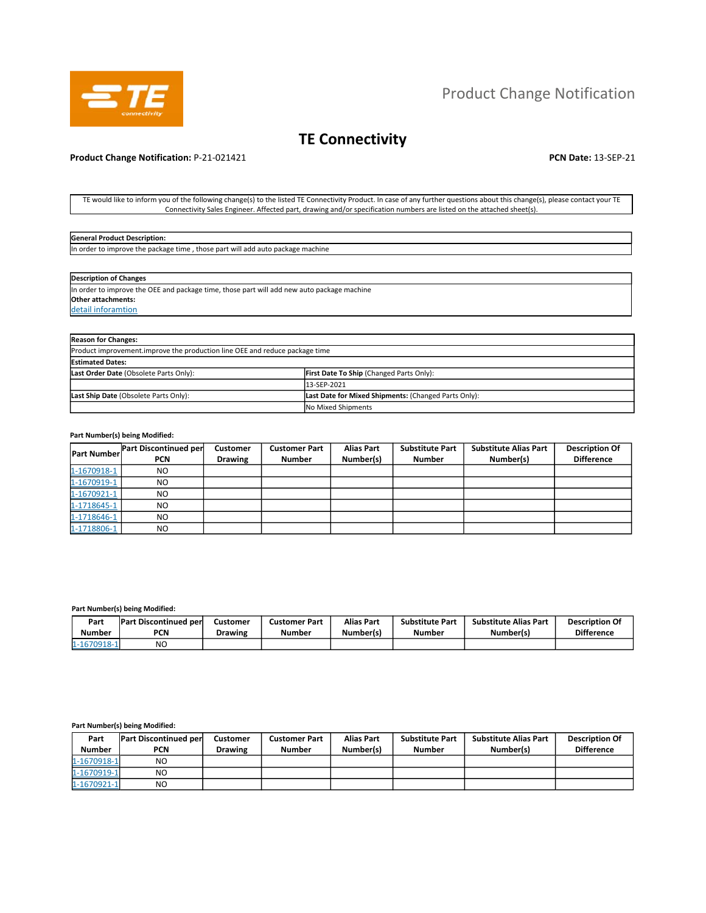

# **TE Connectivity**

# **Product Change Notification:** P-21-021421 **PCN Date:** 13-SEP-21

TE would like to inform you of the following change(s) to the listed TE Connectivity Product. In case of any further questions about this change(s), please contact your TE Connectivity Sales Engineer. Affected part, drawing and/or specification numbers are listed on the attached sheet(s).

| <b>General Product Description:</b>                                            |
|--------------------------------------------------------------------------------|
| In order to improve the package time, those part will add auto package machine |

| <b>Description of Changes</b> |  |
|-------------------------------|--|
|                               |  |

In order to improve the OEE and package time, those part will add new auto package machine **Other attachments:** 

detail inforamtion

| <b>Reason for Changes:</b>                                                  |                                                      |  |  |  |  |  |
|-----------------------------------------------------------------------------|------------------------------------------------------|--|--|--|--|--|
| Product improvement improve the production line OEE and reduce package time |                                                      |  |  |  |  |  |
| <b>Estimated Dates:</b>                                                     |                                                      |  |  |  |  |  |
| Last Order Date (Obsolete Parts Only):                                      | <b>First Date To Ship (Changed Parts Only):</b>      |  |  |  |  |  |
|                                                                             | 13-SEP-2021                                          |  |  |  |  |  |
| Last Ship Date (Obsolete Parts Only):                                       | Last Date for Mixed Shipments: (Changed Parts Only): |  |  |  |  |  |
|                                                                             | <b>No Mixed Shipments</b>                            |  |  |  |  |  |

### **Part Number(s) being Modified:**

| <b>Part Number</b> | Part Discontinued per | <b>Customer</b> | <b>Customer Part</b> | <b>Alias Part</b> | <b>Substitute Part</b> | <b>Substitute Alias Part</b> | <b>Description Of</b> |
|--------------------|-----------------------|-----------------|----------------------|-------------------|------------------------|------------------------------|-----------------------|
|                    | PCN                   | <b>Drawing</b>  | <b>Number</b>        | Number(s)         | <b>Number</b>          | Number(s)                    | <b>Difference</b>     |
| 1-1670918-1        | NO.                   |                 |                      |                   |                        |                              |                       |
| 1-1670919-1        | NO.                   |                 |                      |                   |                        |                              |                       |
| 1-1670921-1        | NO.                   |                 |                      |                   |                        |                              |                       |
| 1-1718645-1        | NO.                   |                 |                      |                   |                        |                              |                       |
| 1-1718646-1        | NO.                   |                 |                      |                   |                        |                              |                       |
| 1-1718806-1        | NO.                   |                 |                      |                   |                        |                              |                       |

### **Part Number(s) being Modified:**

| Part        | <b>Part Discontinued per</b> | Customer       | Customer Part | <b>Alias Part</b> | <b>Substitute Part</b> | <b>Substitute Alias Part</b> | <b>Description Of</b> |
|-------------|------------------------------|----------------|---------------|-------------------|------------------------|------------------------------|-----------------------|
| Number      | PCN                          | <b>Drawing</b> | Number        | Number(s)         | Number                 | Number(s)                    | <b>Difference</b>     |
| 1-1670918-1 | NΟ                           |                |               |                   |                        |                              |                       |

## **Part Number(s) being Modified:**

| Part          | Part Discontinued per | <b>Customer</b> | <b>Customer Part</b> | <b>Alias Part</b> | <b>Substitute Part</b> | <b>Substitute Alias Part</b> | <b>Description Of</b> |
|---------------|-----------------------|-----------------|----------------------|-------------------|------------------------|------------------------------|-----------------------|
| <b>Number</b> | PCN                   | <b>Drawing</b>  | <b>Number</b>        | Number(s)         | <b>Number</b>          | Number(s)                    | <b>Difference</b>     |
| 1-1670918-1   | NO                    |                 |                      |                   |                        |                              |                       |
| 1-1670919-1   | NO                    |                 |                      |                   |                        |                              |                       |
| 1-1670921-1   | NO                    |                 |                      |                   |                        |                              |                       |